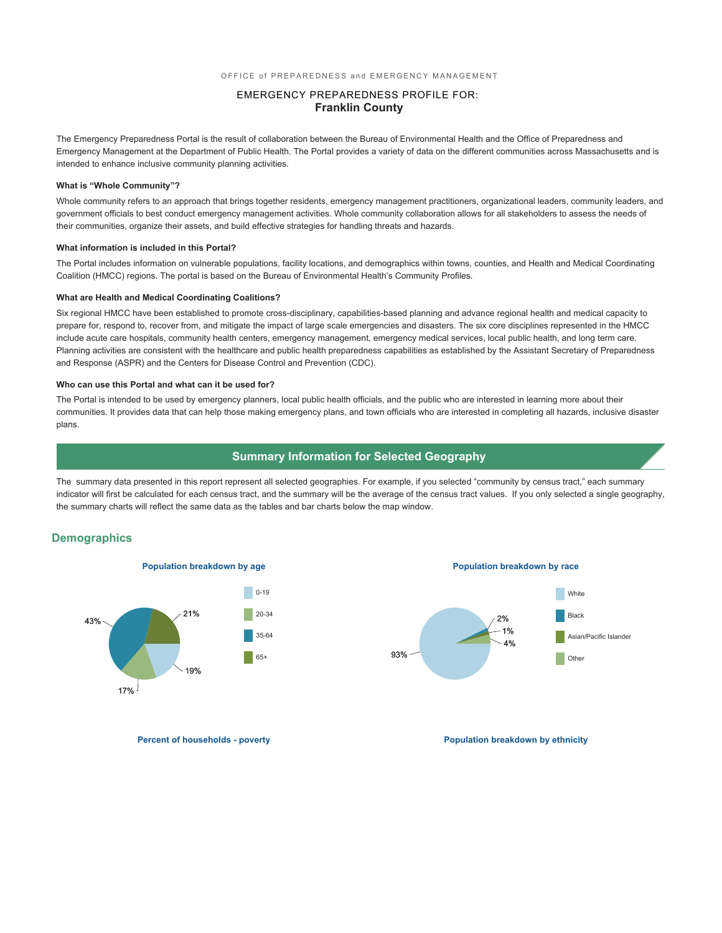### EMERGENCY PREPAREDNESS PROFILE FOR: **Franklin County**

The Emergency Preparedness Portal is the result of collaboration between the Bureau of Environmental Health and the Office of Preparedness and Emergency Management at the Department of Public Health. The Portal provides a variety of data on the different communities across Massachusetts and is intended to enhance inclusive community planning activities.

#### **What is "Whole Community"?**

Whole community refers to an approach that brings together residents, emergency management practitioners, organizational leaders, community leaders, and government officials to best conduct emergency management activities. Whole community collaboration allows for all stakeholders to assess the needs of their communities, organize their assets, and build effective strategies for handling threats and hazards.

#### **What information is included in this Portal?**

The Portal includes information on vulnerable populations, facility locations, and demographics within towns, counties, and Health and Medical Coordinating Coalition (HMCC) regions. The portal is based on the Bureau of Environmental Health's Community Profiles.

#### **What are Health and Medical Coordinating Coalitions?**

Six regional HMCC have been established to promote cross-disciplinary, capabilities-based planning and advance regional health and medical capacity to prepare for, respond to, recover from, and mitigate the impact of large scale emergencies and disasters. The six core disciplines represented in the HMCC include acute care hospitals, community health centers, emergency management, emergency medical services, local public health, and long term care. Planning activities are consistent with the healthcare and public health preparedness capabilities as established by the Assistant Secretary of Preparedness and Response (ASPR) and the Centers for Disease Control and Prevention (CDC).

#### **Who can use this Portal and what can it be used for?**

The Portal is intended to be used by emergency planners, local public health officials, and the public who are interested in learning more about their communities. It provides data that can help those making emergency plans, and town officials who are interested in completing all hazards, inclusive disaster plans.

### **Summary Information for Selected Geography**

The summary data presented in this report represent all selected geographies. For example, if you selected "community by census tract," each summary indicator will first be calculated for each census tract, and the summary will be the average of the census tract values. If you only selected a single geography, the summary charts will reflect the same data as the tables and bar charts below the map window.

### **Demographics**



**Population breakdown by age Population breakdown by race**



**Percent of households - poverty and the powerty of the population breakdown by ethnicity**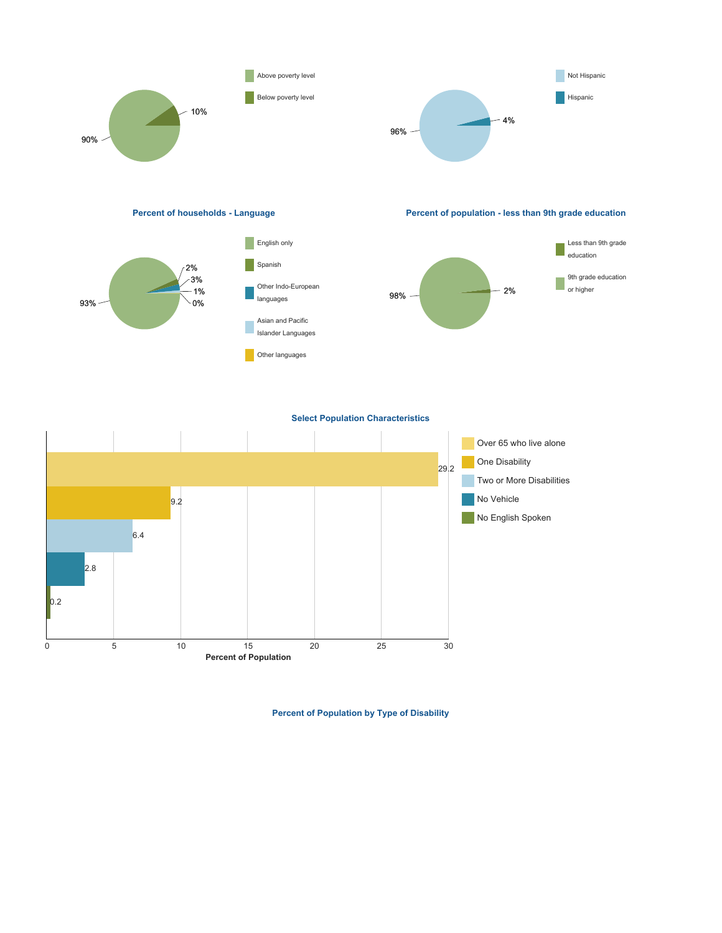

**Percent of Population by Type of Disability**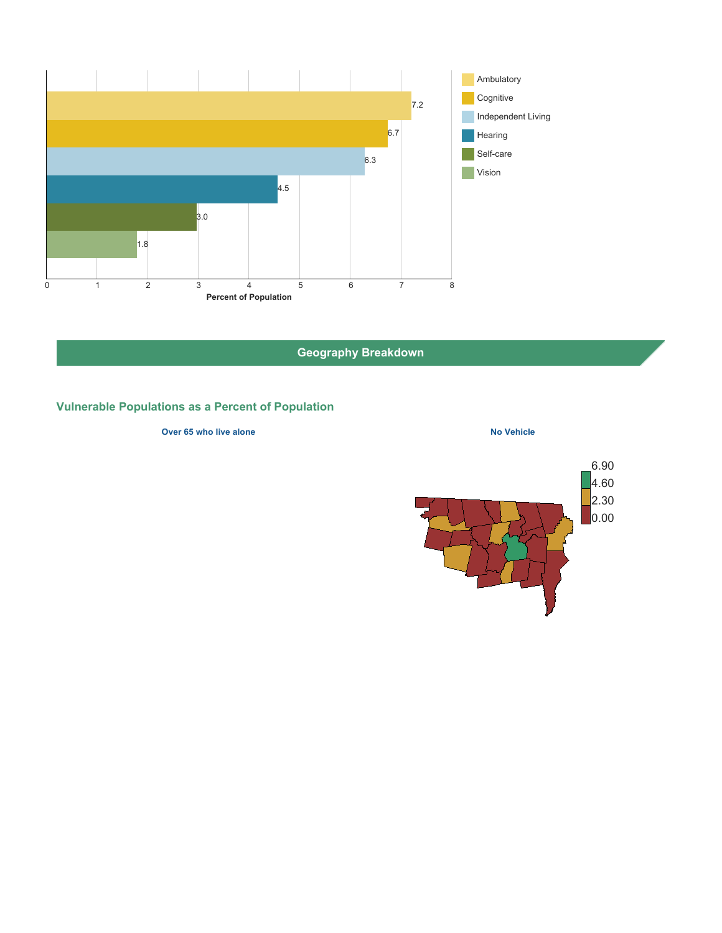

**Geography Breakdown**

# **Vulnerable Populations as a Percent of Population**

#### **Over 65 who live alone No Vehicle No Vehicle**

6.90 4.60 2.30 0.00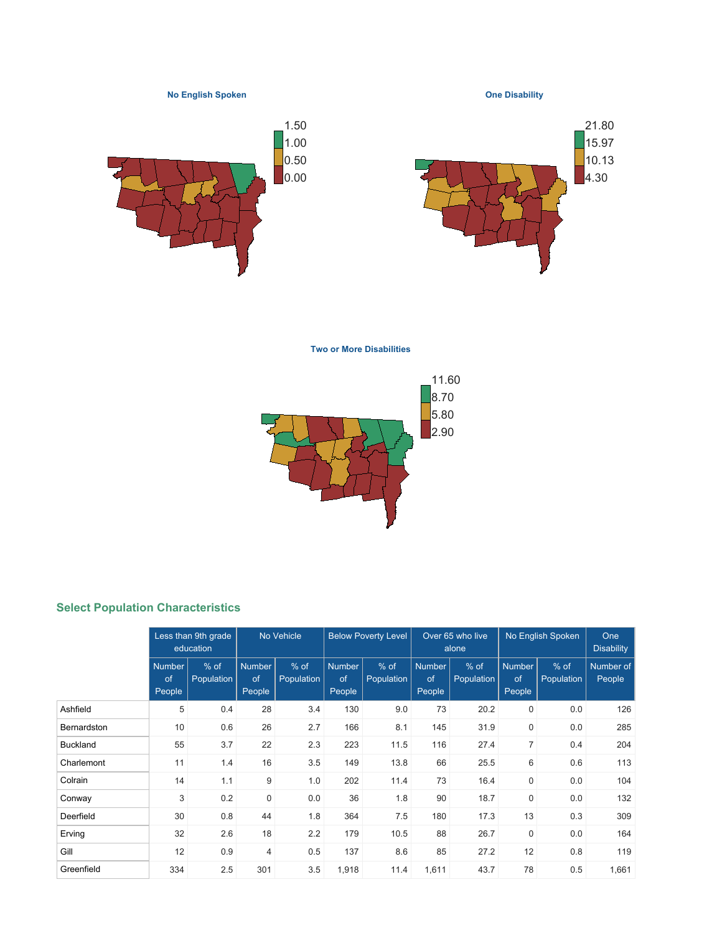**No English Spoken**

**One Disability**





**Two or More Disabilities**



# **Select Population Characteristics**

|                 | Less than 9th grade<br>education |                             | No Vehicle                    |                    | <b>Below Poverty Level</b> |                    | Over 65 who live<br>alone     |                      | No English Spoken             | One<br><b>Disability</b> |                     |
|-----------------|----------------------------------|-----------------------------|-------------------------------|--------------------|----------------------------|--------------------|-------------------------------|----------------------|-------------------------------|--------------------------|---------------------|
|                 | <b>Number</b><br>of<br>People    | $%$ of<br><b>Population</b> | <b>Number</b><br>of<br>People | % of<br>Population | Number<br>of<br>People     | % of<br>Population | <b>Number</b><br>of<br>People | $%$ of<br>Population | <b>Number</b><br>of<br>People | $%$ of<br>Population     | Number of<br>People |
| Ashfield        | 5                                | 0.4                         | 28                            | 3.4                | 130                        | 9.0                | 73                            | 20.2                 | 0                             | 0.0                      | 126                 |
| Bernardston     | 10                               | 0.6                         | 26                            | 2.7                | 166                        | 8.1                | 145                           | 31.9                 | $\mathbf 0$                   | 0.0                      | 285                 |
| <b>Buckland</b> | 55                               | 3.7                         | 22                            | 2.3                | 223                        | 11.5               | 116                           | 27.4                 | $\overline{7}$                | 0.4                      | 204                 |
| Charlemont      | 11                               | 1.4                         | 16                            | 3.5                | 149                        | 13.8               | 66                            | 25.5                 | 6                             | 0.6                      | 113                 |
| Colrain         | 14                               | 1.1                         | 9                             | 1.0                | 202                        | 11.4               | 73                            | 16.4                 | $\mathbf 0$                   | 0.0                      | 104                 |
| Conway          | 3                                | 0.2                         | $\mathbf 0$                   | 0.0                | 36                         | 1.8                | 90                            | 18.7                 | $\mathbf 0$                   | 0.0                      | 132                 |
| Deerfield       | 30                               | 0.8                         | 44                            | 1.8                | 364                        | 7.5                | 180                           | 17.3                 | 13                            | 0.3                      | 309                 |
| Erving          | 32                               | 2.6                         | 18                            | 2.2                | 179                        | 10.5               | 88                            | 26.7                 | $\mathbf 0$                   | 0.0                      | 164                 |
| Gill            | 12                               | 0.9                         | $\overline{4}$                | 0.5                | 137                        | 8.6                | 85                            | 27.2                 | 12                            | 0.8                      | 119                 |
| Greenfield      | 334                              | 2.5                         | 301                           | 3.5                | 1,918                      | 11.4               | 1,611                         | 43.7                 | 78                            | 0.5                      | 1,661               |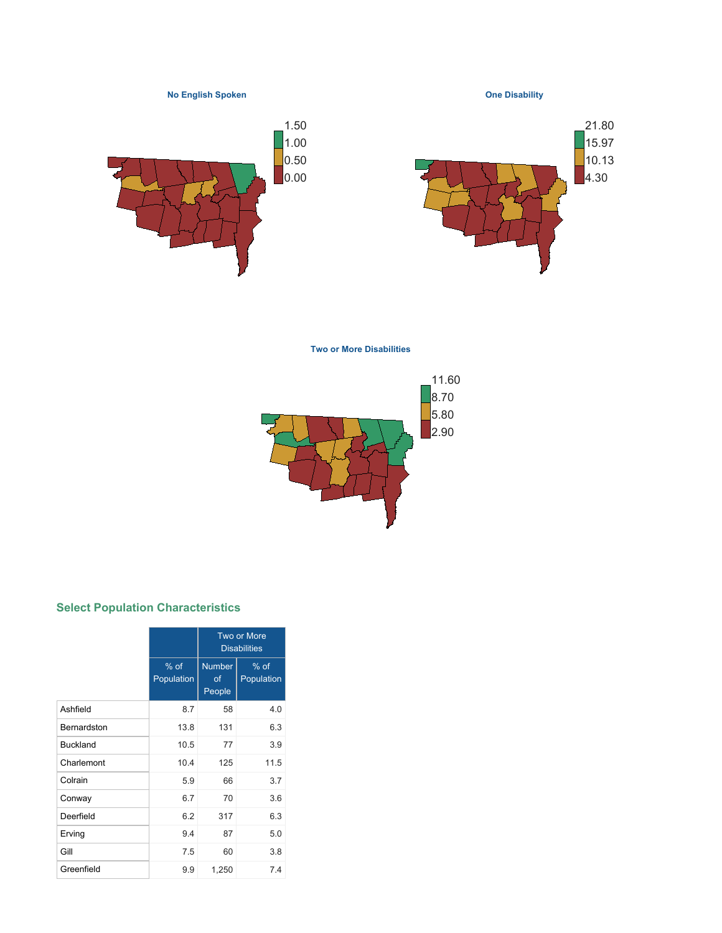**No English Spoken**

**One Disability**





**Two or More Disabilities**



# **Select Population Characteristics**

|                    |                      | Two or More<br><b>Disabilities</b> |                      |  |  |
|--------------------|----------------------|------------------------------------|----------------------|--|--|
|                    | $%$ of<br>Population | <b>Number</b><br>οf<br>People      | $%$ of<br>Population |  |  |
| Ashfield           | 8.7                  | 58                                 | 4.0                  |  |  |
| <b>Bernardston</b> | 13.8                 | 131                                | 6.3                  |  |  |
| <b>Buckland</b>    | 10.5                 | 77                                 | 3.9                  |  |  |
| Charlemont         | 10.4                 | 125                                | 11.5                 |  |  |
| Colrain            | 5.9                  | 66                                 | 3.7                  |  |  |
| Conway             | 6.7                  | 70                                 | 3.6                  |  |  |
| Deerfield          | 6.2                  | 317                                | 6.3                  |  |  |
| Erving             | 9.4                  | 87                                 | 5.0                  |  |  |
| Gill               | 7.5                  | 60                                 | 3.8                  |  |  |
| Greenfield         | 9.9                  | 1,250                              | 7.4                  |  |  |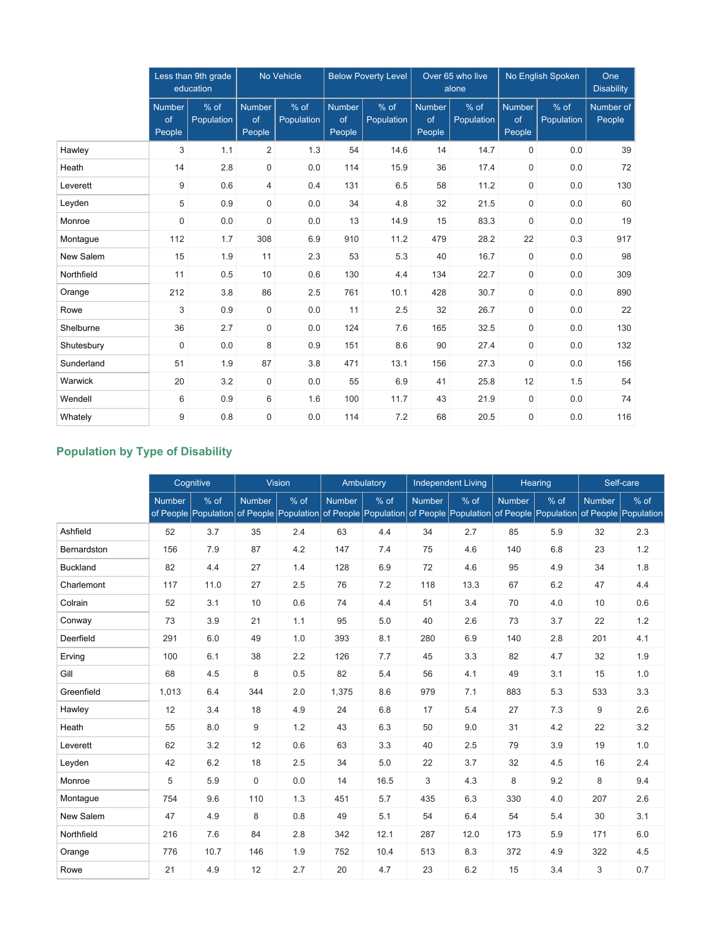|            | Less than 9th grade<br>education |                    |                               | No Vehicle         | <b>Below Poverty Level</b>    |                    |                               | Over 65 who live<br>alone | No English Spoken             | One<br><b>Disability</b> |                     |
|------------|----------------------------------|--------------------|-------------------------------|--------------------|-------------------------------|--------------------|-------------------------------|---------------------------|-------------------------------|--------------------------|---------------------|
|            | <b>Number</b><br>of<br>People    | % of<br>Population | <b>Number</b><br>of<br>People | % of<br>Population | <b>Number</b><br>of<br>People | % of<br>Population | <b>Number</b><br>of<br>People | % of<br>Population        | <b>Number</b><br>of<br>People | % of<br>Population       | Number of<br>People |
| Hawley     | 3                                | 1.1                | 2                             | 1.3                | 54                            | 14.6               | 14                            | 14.7                      | $\mathbf 0$                   | 0.0                      | 39                  |
| Heath      | 14                               | 2.8                | $\boldsymbol{0}$              | 0.0                | 114                           | 15.9               | 36                            | 17.4                      | 0                             | 0.0                      | 72                  |
| Leverett   | 9                                | 0.6                | $\overline{4}$                | 0.4                | 131                           | 6.5                | 58                            | 11.2                      | 0                             | 0.0                      | 130                 |
| Leyden     | 5                                | 0.9                | $\mathbf 0$                   | 0.0                | 34                            | 4.8                | 32                            | 21.5                      | 0                             | 0.0                      | 60                  |
| Monroe     | $\mathsf 0$                      | 0.0                | $\mathbf 0$                   | 0.0                | 13                            | 14.9               | 15                            | 83.3                      | 0                             | 0.0                      | 19                  |
| Montague   | 112                              | 1.7                | 308                           | 6.9                | 910                           | 11.2               | 479                           | 28.2                      | 22                            | 0.3                      | 917                 |
| New Salem  | 15                               | 1.9                | 11                            | 2.3                | 53                            | 5.3                | 40                            | 16.7                      | $\mathbf 0$                   | 0.0                      | 98                  |
| Northfield | 11                               | 0.5                | 10                            | 0.6                | 130                           | 4.4                | 134                           | 22.7                      | 0                             | 0.0                      | 309                 |
| Orange     | 212                              | 3.8                | 86                            | 2.5                | 761                           | 10.1               | 428                           | 30.7                      | $\mathbf 0$                   | 0.0                      | 890                 |
| Rowe       | 3                                | 0.9                | $\mathbf 0$                   | 0.0                | 11                            | 2.5                | 32                            | 26.7                      | $\mathbf 0$                   | 0.0                      | 22                  |
| Shelburne  | 36                               | 2.7                | $\mathbf 0$                   | 0.0                | 124                           | 7.6                | 165                           | 32.5                      | 0                             | 0.0                      | 130                 |
| Shutesbury | $\mathbf 0$                      | 0.0                | 8                             | 0.9                | 151                           | 8.6                | 90                            | 27.4                      | 0                             | 0.0                      | 132                 |
| Sunderland | 51                               | 1.9                | 87                            | 3.8                | 471                           | 13.1               | 156                           | 27.3                      | 0                             | 0.0                      | 156                 |
| Warwick    | 20                               | 3.2                | $\mathbf 0$                   | 0.0                | 55                            | 6.9                | 41                            | 25.8                      | 12                            | 1.5                      | 54                  |
| Wendell    | 6                                | 0.9                | 6                             | 1.6                | 100                           | 11.7               | 43                            | 21.9                      | $\mathbf 0$                   | 0.0                      | 74                  |
| Whately    | 9                                | 0.8                | $\mathbf 0$                   | 0.0                | 114                           | 7.2                | 68                            | 20.5                      | 0                             | 0.0                      | 116                 |

# **Population by Type of Disability**

|                 |               | Cognitive |        | <b>Vision</b>                                                                                                                         |               | Ambulatory |               | <b>Independent Living</b> |               | Hearing |               | Self-care |
|-----------------|---------------|-----------|--------|---------------------------------------------------------------------------------------------------------------------------------------|---------------|------------|---------------|---------------------------|---------------|---------|---------------|-----------|
|                 | <b>Number</b> | % of      | Number | % of<br>of People Population of People Population of People Population of People Population of People Population of People Population | <b>Number</b> | % of       | <b>Number</b> | % of                      | <b>Number</b> | % of    | <b>Number</b> | $%$ of    |
| Ashfield        | 52            | 3.7       | 35     | 2.4                                                                                                                                   | 63            | 4.4        | 34            | 2.7                       | 85            | 5.9     | 32            | 2.3       |
| Bernardston     | 156           | 7.9       | 87     | 4.2                                                                                                                                   | 147           | 7.4        | 75            | 4.6                       | 140           | 6.8     | 23            | 1.2       |
| <b>Buckland</b> | 82            | 4.4       | 27     | 1.4                                                                                                                                   | 128           | 6.9        | 72            | 4.6                       | 95            | 4.9     | 34            | 1.8       |
| Charlemont      | 117           | 11.0      | 27     | 2.5                                                                                                                                   | 76            | 7.2        | 118           | 13.3                      | 67            | 6.2     | 47            | 4.4       |
| Colrain         | 52            | 3.1       | 10     | 0.6                                                                                                                                   | 74            | 4.4        | 51            | 3.4                       | 70            | 4.0     | 10            | 0.6       |
| Conway          | 73            | 3.9       | 21     | 1.1                                                                                                                                   | 95            | 5.0        | 40            | 2.6                       | 73            | 3.7     | 22            | 1.2       |
| Deerfield       | 291           | 6.0       | 49     | 1.0                                                                                                                                   | 393           | 8.1        | 280           | 6.9                       | 140           | 2.8     | 201           | 4.1       |
| Erving          | 100           | 6.1       | 38     | 2.2                                                                                                                                   | 126           | 7.7        | 45            | 3.3                       | 82            | 4.7     | 32            | 1.9       |
| Gill            | 68            | 4.5       | 8      | 0.5                                                                                                                                   | 82            | 5.4        | 56            | 4.1                       | 49            | 3.1     | 15            | 1.0       |
| Greenfield      | 1,013         | 6.4       | 344    | 2.0                                                                                                                                   | 1,375         | 8.6        | 979           | 7.1                       | 883           | 5.3     | 533           | 3.3       |
| Hawley          | 12            | 3.4       | 18     | 4.9                                                                                                                                   | 24            | 6.8        | 17            | 5.4                       | 27            | 7.3     | 9             | 2.6       |
| Heath           | 55            | 8.0       | 9      | 1.2                                                                                                                                   | 43            | 6.3        | 50            | 9.0                       | 31            | 4.2     | 22            | 3.2       |
| Leverett        | 62            | 3.2       | 12     | 0.6                                                                                                                                   | 63            | 3.3        | 40            | 2.5                       | 79            | 3.9     | 19            | 1.0       |
| Leyden          | 42            | 6.2       | 18     | 2.5                                                                                                                                   | 34            | 5.0        | 22            | 3.7                       | 32            | 4.5     | 16            | 2.4       |
| Monroe          | 5             | 5.9       | 0      | 0.0                                                                                                                                   | 14            | 16.5       | 3             | 4.3                       | 8             | 9.2     | 8             | 9.4       |
| Montague        | 754           | 9.6       | 110    | 1.3                                                                                                                                   | 451           | 5.7        | 435           | 6.3                       | 330           | 4.0     | 207           | 2.6       |
| New Salem       | 47            | 4.9       | 8      | 0.8                                                                                                                                   | 49            | 5.1        | 54            | 6.4                       | 54            | 5.4     | 30            | 3.1       |
| Northfield      | 216           | 7.6       | 84     | 2.8                                                                                                                                   | 342           | 12.1       | 287           | 12.0                      | 173           | 5.9     | 171           | 6.0       |
| Orange          | 776           | 10.7      | 146    | 1.9                                                                                                                                   | 752           | 10.4       | 513           | 8.3                       | 372           | 4.9     | 322           | 4.5       |
| Rowe            | 21            | 4.9       | 12     | 2.7                                                                                                                                   | 20            | 4.7        | 23            | 6.2                       | 15            | 3.4     | 3             | 0.7       |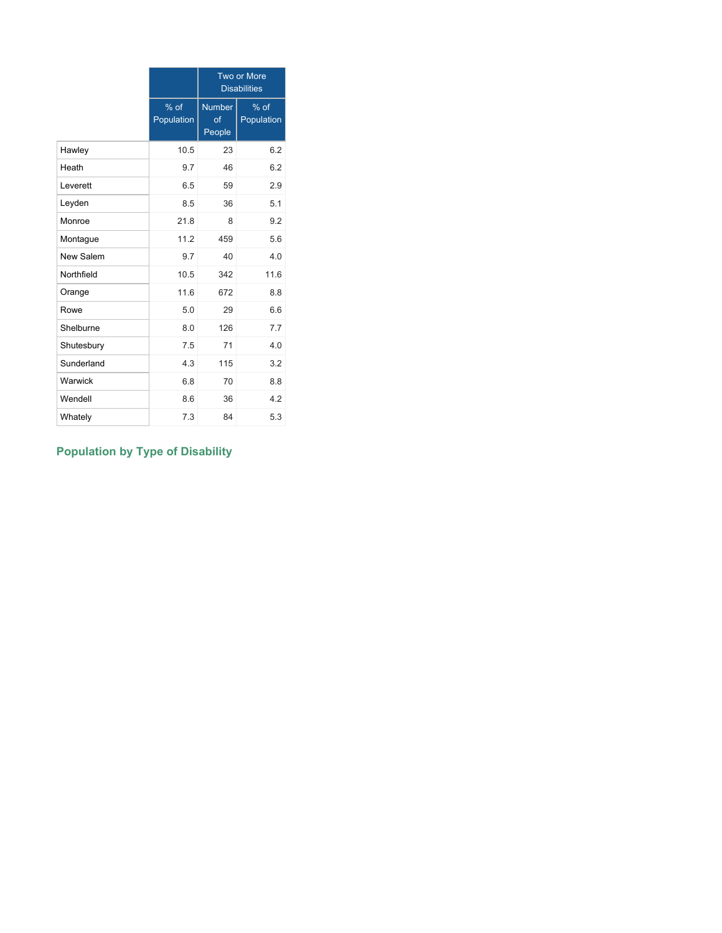|            |                    |                               | <b>Two or More</b><br><b>Disabilities</b> |
|------------|--------------------|-------------------------------|-------------------------------------------|
|            | % of<br>Population | <b>Number</b><br>of<br>People | $%$ of<br>Population                      |
| Hawley     | 10.5               | 23                            | 6.2                                       |
| Heath      | 9.7                | 46                            | 6.2                                       |
| Leverett   | 6.5                | 59                            | 2.9                                       |
| Leyden     | 8.5                | 36                            | 5.1                                       |
| Monroe     | 21.8               | 8                             | 9.2                                       |
| Montague   | 11.2               | 459                           | 5.6                                       |
| New Salem  | 9.7                | 40                            | 4.0                                       |
| Northfield | 10.5               | 342                           | 11.6                                      |
| Orange     | 11.6               | 672                           | 8.8                                       |
| Rowe       | 5.0                | 29                            | 6.6                                       |
| Shelburne  | 8.0                | 126                           | 7.7                                       |
| Shutesbury | 7.5                | 71                            | 4.0                                       |
| Sunderland | 4.3                | 115                           | 3.2                                       |
| Warwick    | 6.8                | 70                            | 8.8                                       |
| Wendell    | 8.6                | 36                            | 4.2                                       |
| Whately    | 7.3                | 84                            | 5.3                                       |

# **Population by Type of Disability**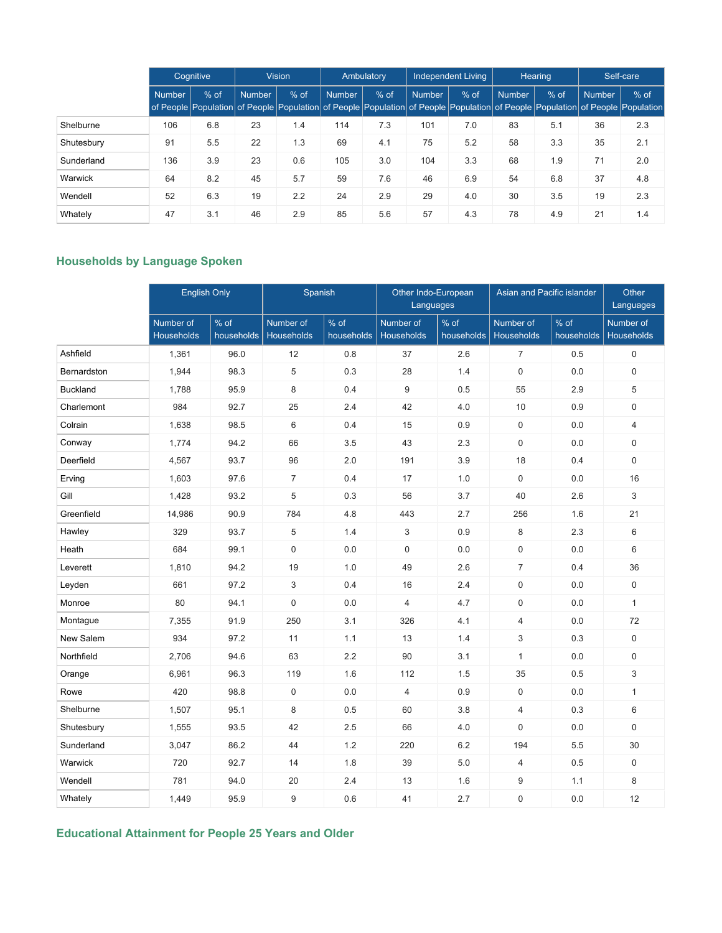|            |         | Cognitive |               | <b>Vision</b> |        | Ambulatory |               | <b>Independent Living</b> | Hearing       |        |               | Self-care                                                                                                                               |
|------------|---------|-----------|---------------|---------------|--------|------------|---------------|---------------------------|---------------|--------|---------------|-----------------------------------------------------------------------------------------------------------------------------------------|
|            | Number. | $%$ of    | <b>Number</b> | $%$ of        | Number | $%$ of     | <b>Number</b> | $%$ of                    | <b>Number</b> | $%$ of | <b>Number</b> | $%$ of<br>of People Population of People Population of People Population of People Population of People Population of People Population |
| Shelburne  | 106     | 6.8       | 23            | 1.4           | 114    | 7.3        | 101           | 7.0                       | 83            | 5.1    | 36            | 2.3                                                                                                                                     |
| Shutesbury | 91      | 5.5       | 22            | 1.3           | 69     | 4.1        | 75            | 5.2                       | 58            | 3.3    | 35            | 2.1                                                                                                                                     |
| Sunderland | 136     | 3.9       | 23            | 0.6           | 105    | 3.0        | 104           | 3.3                       | 68            | 1.9    | 71            | 2.0                                                                                                                                     |
| Warwick    | 64      | 8.2       | 45            | 5.7           | 59     | 7.6        | 46            | 6.9                       | 54            | 6.8    | 37            | 4.8                                                                                                                                     |
| Wendell    | 52      | 6.3       | 19            | 2.2           | 24     | 2.9        | 29            | 4.0                       | 30            | 3.5    | 19            | 2.3                                                                                                                                     |
| Whately    | 47      | 3.1       | 46            | 2.9           | 85     | 5.6        | 57            | 4.3                       | 78            | 4.9    | 21            | 1.4                                                                                                                                     |

# **Households by Language Spoken**

|                 | <b>English Only</b>            |                    |                                | Spanish              |                         | Other Indo-European<br>Languages | Asian and Pacific islander | Other<br>Languages   |                                |
|-----------------|--------------------------------|--------------------|--------------------------------|----------------------|-------------------------|----------------------------------|----------------------------|----------------------|--------------------------------|
|                 | Number of<br><b>Households</b> | % of<br>households | Number of<br><b>Households</b> | $%$ of<br>households | Number of<br>Households | % of<br>households               | Number of<br>Households    | $%$ of<br>households | Number of<br><b>Households</b> |
| Ashfield        | 1,361                          | 96.0               | 12                             | 0.8                  | 37                      | 2.6                              | $\overline{7}$             | 0.5                  | $\mathbf 0$                    |
| Bernardston     | 1,944                          | 98.3               | 5                              | 0.3                  | 28                      | 1.4                              | $\mathbf 0$                | 0.0                  | 0                              |
| <b>Buckland</b> | 1,788                          | 95.9               | 8                              | 0.4                  | 9                       | 0.5                              | 55                         | 2.9                  | 5                              |
| Charlemont      | 984                            | 92.7               | 25                             | 2.4                  | 42                      | 4.0                              | 10                         | 0.9                  | 0                              |
| Colrain         | 1,638                          | 98.5               | 6                              | 0.4                  | 15                      | 0.9                              | $\mathbf 0$                | 0.0                  | $\overline{4}$                 |
| Conway          | 1,774                          | 94.2               | 66                             | 3.5                  | 43                      | 2.3                              | $\mathbf 0$                | 0.0                  | $\mathbf 0$                    |
| Deerfield       | 4,567                          | 93.7               | 96                             | 2.0                  | 191                     | 3.9                              | 18                         | 0.4                  | $\mathbf 0$                    |
| Erving          | 1,603                          | 97.6               | $\overline{7}$                 | 0.4                  | 17                      | 1.0                              | $\mathbf 0$                | 0.0                  | 16                             |
| Gill            | 1,428                          | 93.2               | 5                              | 0.3                  | 56                      | 3.7                              | 40                         | 2.6                  | 3                              |
| Greenfield      | 14,986                         | 90.9               | 784                            | 4.8                  | 443                     | 2.7                              | 256                        | 1.6                  | 21                             |
| Hawley          | 329                            | 93.7               | 5                              | 1.4                  | 3                       | 0.9                              | 8                          | 2.3                  | 6                              |
| Heath           | 684                            | 99.1               | $\mathbf 0$                    | 0.0                  | $\mathbf 0$             | 0.0                              | $\mathbf 0$                | 0.0                  | 6                              |
| Leverett        | 1,810                          | 94.2               | 19                             | 1.0                  | 49                      | 2.6                              | $\overline{7}$             | 0.4                  | 36                             |
| Leyden          | 661                            | 97.2               | 3                              | 0.4                  | 16                      | 2.4                              | $\mathbf 0$                | 0.0                  | $\mathbf 0$                    |
| Monroe          | 80                             | 94.1               | $\mathbf 0$                    | 0.0                  | $\overline{4}$          | 4.7                              | $\boldsymbol{0}$           | 0.0                  | $\mathbf{1}$                   |
| Montague        | 7,355                          | 91.9               | 250                            | 3.1                  | 326                     | 4.1                              | $\overline{4}$             | 0.0                  | 72                             |
| New Salem       | 934                            | 97.2               | 11                             | 1.1                  | 13                      | 1.4                              | 3                          | 0.3                  | $\mathbf 0$                    |
| Northfield      | 2,706                          | 94.6               | 63                             | 2.2                  | 90                      | 3.1                              | $\mathbf{1}$               | 0.0                  | 0                              |
| Orange          | 6,961                          | 96.3               | 119                            | 1.6                  | 112                     | 1.5                              | 35                         | 0.5                  | 3                              |
| Rowe            | 420                            | 98.8               | $\mathbf 0$                    | 0.0                  | $\overline{4}$          | 0.9                              | $\mathbf 0$                | 0.0                  | $\mathbf{1}$                   |
| Shelburne       | 1,507                          | 95.1               | 8                              | 0.5                  | 60                      | 3.8                              | $\overline{4}$             | 0.3                  | 6                              |
| Shutesbury      | 1,555                          | 93.5               | 42                             | 2.5                  | 66                      | 4.0                              | $\mathbf 0$                | 0.0                  | $\mathbf 0$                    |
| Sunderland      | 3,047                          | 86.2               | 44                             | 1.2                  | 220                     | 6.2                              | 194                        | 5.5                  | 30                             |
| Warwick         | 720                            | 92.7               | 14                             | 1.8                  | 39                      | 5.0                              | $\overline{4}$             | 0.5                  | $\mathbf 0$                    |
| Wendell         | 781                            | 94.0               | 20                             | 2.4                  | 13                      | 1.6                              | 9                          | 1.1                  | 8                              |
| Whately         | 1,449                          | 95.9               | 9                              | 0.6                  | 41                      | 2.7                              | $\pmb{0}$                  | 0.0                  | 12                             |

**Educational Attainment for People 25 Years and Older**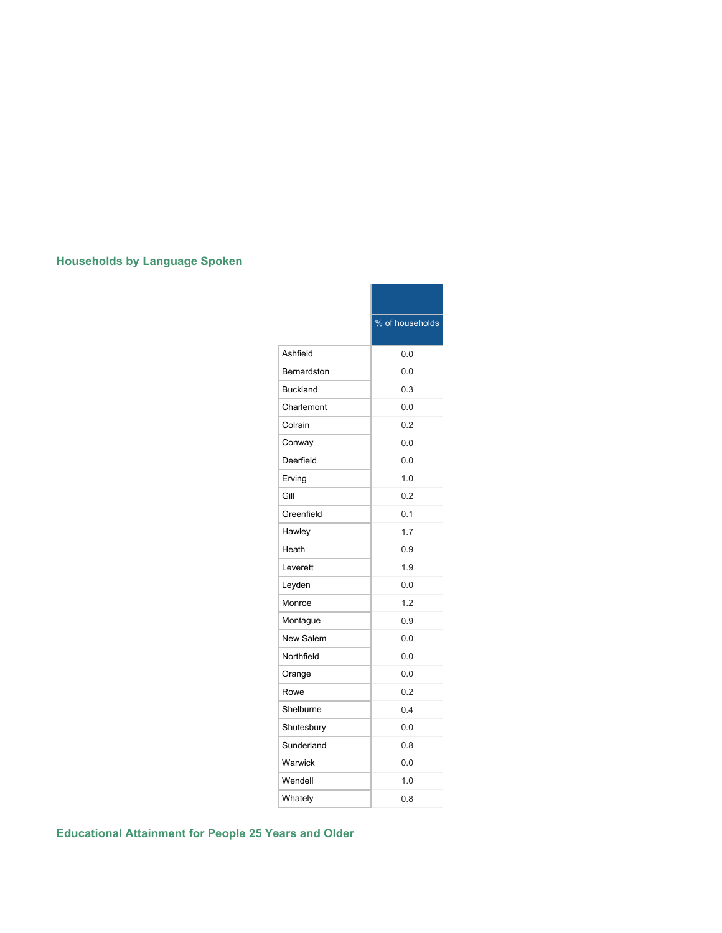# **Households by Language Spoken**

|                 | % of households |
|-----------------|-----------------|
| Ashfield        | 0.0             |
| Bernardston     | 0.0             |
| <b>Buckland</b> | 0.3             |
| Charlemont      | 0.0             |
| Colrain         | 0.2             |
| Conway          | 0.0             |
| Deerfield       | 0.0             |
| Erving          | 1.0             |
| Gill            | 0.2             |
| Greenfield      | 0.1             |
| Hawley          | 1.7             |
| Heath           | 0.9             |
| Leverett        | 1.9             |
| Leyden          | 0.0             |
| Monroe          | 1.2             |
| Montague        | 0.9             |
| New Salem       | 0.0             |
| Northfield      | 0.0             |
| Orange          | 0.0             |
| Rowe            | 0.2             |
| Shelburne       | 0.4             |
| Shutesbury      | 0.0             |
| Sunderland      | 0.8             |
| Warwick         | 0.0             |
| Wendell         | 1.0             |
| Whately         | 0.8             |

**Educational Attainment for People 25 Years and Older**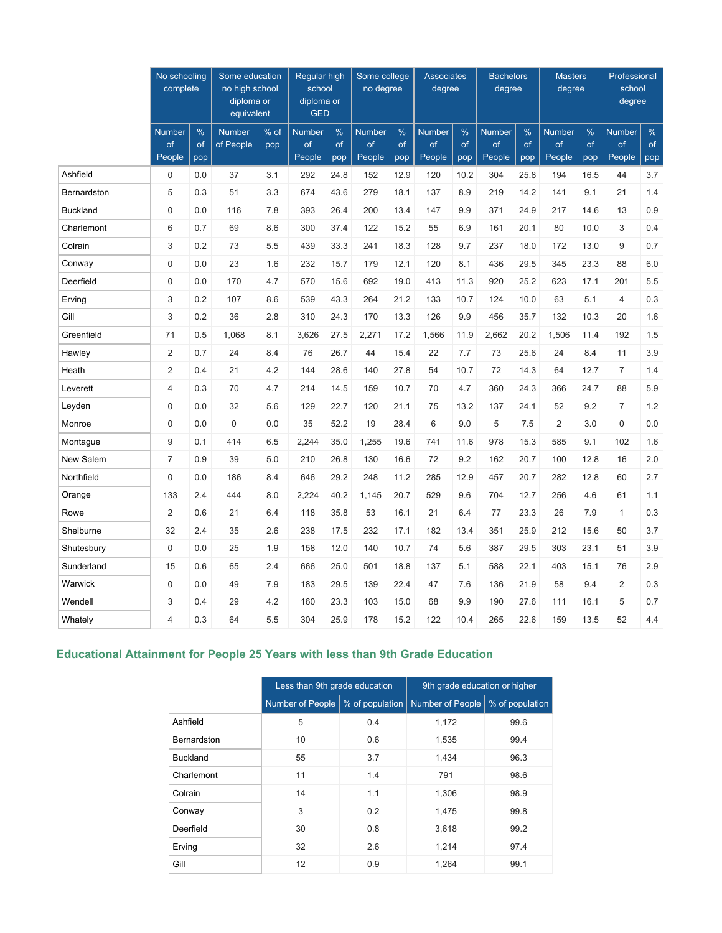|                 | No schooling<br>complete      |                   | Some education<br>no high school<br>diploma or<br>equivalent |             | Regular high<br>school<br>diploma or<br><b>GED</b> |                   | Some college<br>no degree     |                   | <b>Associates</b><br>degree   |                   | <b>Bachelors</b><br>degree    |                   | <b>Masters</b><br>degree      |                   | Professional<br>school<br>degree |                   |
|-----------------|-------------------------------|-------------------|--------------------------------------------------------------|-------------|----------------------------------------------------|-------------------|-------------------------------|-------------------|-------------------------------|-------------------|-------------------------------|-------------------|-------------------------------|-------------------|----------------------------------|-------------------|
|                 | <b>Number</b><br>of<br>People | $\%$<br>of<br>pop | <b>Number</b><br>of People                                   | % of<br>pop | <b>Number</b><br>of<br>People                      | $\%$<br>of<br>pop | <b>Number</b><br>of<br>People | $\%$<br>of<br>pop | <b>Number</b><br>of<br>People | $\%$<br>of<br>pop | <b>Number</b><br>of<br>People | $\%$<br>of<br>pop | <b>Number</b><br>of<br>People | $\%$<br>of<br>pop | <b>Number</b><br>of<br>People    | $\%$<br>of<br>pop |
| Ashfield        | 0                             | 0.0               | 37                                                           | 3.1         | 292                                                | 24.8              | 152                           | 12.9              | 120                           | 10.2              | 304                           | 25.8              | 194                           | 16.5              | 44                               | 3.7               |
| Bernardston     | 5                             | 0.3               | 51                                                           | 3.3         | 674                                                | 43.6              | 279                           | 18.1              | 137                           | 8.9               | 219                           | 14.2              | 141                           | 9.1               | 21                               | 1.4               |
| <b>Buckland</b> | $\mathbf 0$                   | 0.0               | 116                                                          | 7.8         | 393                                                | 26.4              | 200                           | 13.4              | 147                           | 9.9               | 371                           | 24.9              | 217                           | 14.6              | 13                               | 0.9               |
| Charlemont      | 6                             | 0.7               | 69                                                           | 8.6         | 300                                                | 37.4              | 122                           | 15.2              | 55                            | 6.9               | 161                           | 20.1              | 80                            | 10.0              | 3                                | 0.4               |
| Colrain         | 3                             | 0.2               | 73                                                           | 5.5         | 439                                                | 33.3              | 241                           | 18.3              | 128                           | 9.7               | 237                           | 18.0              | 172                           | 13.0              | 9                                | 0.7               |
| Conway          | $\pmb{0}$                     | 0.0               | 23                                                           | 1.6         | 232                                                | 15.7              | 179                           | 12.1              | 120                           | 8.1               | 436                           | 29.5              | 345                           | 23.3              | 88                               | 6.0               |
| Deerfield       | $\mathsf 0$                   | 0.0               | 170                                                          | 4.7         | 570                                                | 15.6              | 692                           | 19.0              | 413                           | 11.3              | 920                           | 25.2              | 623                           | 17.1              | 201                              | 5.5               |
| Erving          | 3                             | 0.2               | 107                                                          | 8.6         | 539                                                | 43.3              | 264                           | 21.2              | 133                           | 10.7              | 124                           | 10.0              | 63                            | 5.1               | 4                                | 0.3               |
| Gill            | 3                             | 0.2               | 36                                                           | 2.8         | 310                                                | 24.3              | 170                           | 13.3              | 126                           | 9.9               | 456                           | 35.7              | 132                           | 10.3              | 20                               | 1.6               |
| Greenfield      | 71                            | 0.5               | 1,068                                                        | 8.1         | 3,626                                              | 27.5              | 2,271                         | 17.2              | 1,566                         | 11.9              | 2,662                         | 20.2              | 1,506                         | 11.4              | 192                              | 1.5               |
| Hawley          | $\overline{2}$                | 0.7               | 24                                                           | 8.4         | 76                                                 | 26.7              | 44                            | 15.4              | 22                            | 7.7               | 73                            | 25.6              | 24                            | 8.4               | 11                               | 3.9               |
| Heath           | $\overline{2}$                | 0.4               | 21                                                           | 4.2         | 144                                                | 28.6              | 140                           | 27.8              | 54                            | 10.7              | 72                            | 14.3              | 64                            | 12.7              | $\overline{7}$                   | 1.4               |
| Leverett        | $\overline{4}$                | 0.3               | 70                                                           | 4.7         | 214                                                | 14.5              | 159                           | 10.7              | 70                            | 4.7               | 360                           | 24.3              | 366                           | 24.7              | 88                               | 5.9               |
| Leyden          | $\mathbf 0$                   | 0.0               | 32                                                           | 5.6         | 129                                                | 22.7              | 120                           | 21.1              | 75                            | 13.2              | 137                           | 24.1              | 52                            | 9.2               | $\overline{7}$                   | 1.2               |
| Monroe          | $\mathbf 0$                   | 0.0               | $\mathbf 0$                                                  | 0.0         | 35                                                 | 52.2              | 19                            | 28.4              | 6                             | 9.0               | 5                             | 7.5               | $\overline{2}$                | 3.0               | $\mathbf 0$                      | 0.0               |
| Montague        | 9                             | 0.1               | 414                                                          | 6.5         | 2,244                                              | 35.0              | 1,255                         | 19.6              | 741                           | 11.6              | 978                           | 15.3              | 585                           | 9.1               | 102                              | 1.6               |
| New Salem       | $\overline{7}$                | 0.9               | 39                                                           | 5.0         | 210                                                | 26.8              | 130                           | 16.6              | 72                            | 9.2               | 162                           | 20.7              | 100                           | 12.8              | 16                               | 2.0               |
| Northfield      | $\mathbf 0$                   | 0.0               | 186                                                          | 8.4         | 646                                                | 29.2              | 248                           | 11.2              | 285                           | 12.9              | 457                           | 20.7              | 282                           | 12.8              | 60                               | 2.7               |
| Orange          | 133                           | 2.4               | 444                                                          | 8.0         | 2,224                                              | 40.2              | 1,145                         | 20.7              | 529                           | 9.6               | 704                           | 12.7              | 256                           | 4.6               | 61                               | 1.1               |
| Rowe            | $\overline{2}$                | 0.6               | 21                                                           | 6.4         | 118                                                | 35.8              | 53                            | 16.1              | 21                            | 6.4               | 77                            | 23.3              | 26                            | 7.9               | $\mathbf{1}$                     | 0.3               |
| Shelburne       | 32                            | 2.4               | 35                                                           | 2.6         | 238                                                | 17.5              | 232                           | 17.1              | 182                           | 13.4              | 351                           | 25.9              | 212                           | 15.6              | 50                               | 3.7               |
| Shutesbury      | $\mathbf 0$                   | 0.0               | 25                                                           | 1.9         | 158                                                | 12.0              | 140                           | 10.7              | 74                            | 5.6               | 387                           | 29.5              | 303                           | 23.1              | 51                               | 3.9               |
| Sunderland      | 15                            | 0.6               | 65                                                           | 2.4         | 666                                                | 25.0              | 501                           | 18.8              | 137                           | 5.1               | 588                           | 22.1              | 403                           | 15.1              | 76                               | 2.9               |
| Warwick         | $\mathbf 0$                   | 0.0               | 49                                                           | 7.9         | 183                                                | 29.5              | 139                           | 22.4              | 47                            | 7.6               | 136                           | 21.9              | 58                            | 9.4               | 2                                | 0.3               |
| Wendell         | 3                             | 0.4               | 29                                                           | 4.2         | 160                                                | 23.3              | 103                           | 15.0              | 68                            | 9.9               | 190                           | 27.6              | 111                           | 16.1              | 5                                | 0.7               |
| Whately         | $\overline{4}$                | 0.3               | 64                                                           | 5.5         | 304                                                | 25.9              | 178                           | 15.2              | 122                           | 10.4              | 265                           | 22.6              | 159                           | 13.5              | 52                               | 4.4               |

# **Educational Attainment for People 25 Years with less than 9th Grade Education**

|                 | Less than 9th grade education |                 | 9th grade education or higher |                 |
|-----------------|-------------------------------|-----------------|-------------------------------|-----------------|
|                 | Number of People              | % of population | Number of People              | % of population |
| Ashfield        | 5                             | 0.4             | 1,172                         | 99.6            |
| Bernardston     | 10                            | 0.6             | 1,535                         | 99.4            |
| <b>Buckland</b> | 55                            | 3.7             | 1,434                         | 96.3            |
| Charlemont      | 11                            | 1.4             | 791                           | 98.6            |
| Colrain         | 14                            | 1.1             | 1,306                         | 98.9            |
| Conway          | 3                             | 0.2             | 1,475                         | 99.8            |
| Deerfield       | 30                            | 0.8             | 3,618                         | 99.2            |
| Erving          | 32                            | 2.6             | 1,214                         | 97.4            |
| Gill            | 12                            | 0.9             | 1,264                         | 99.1            |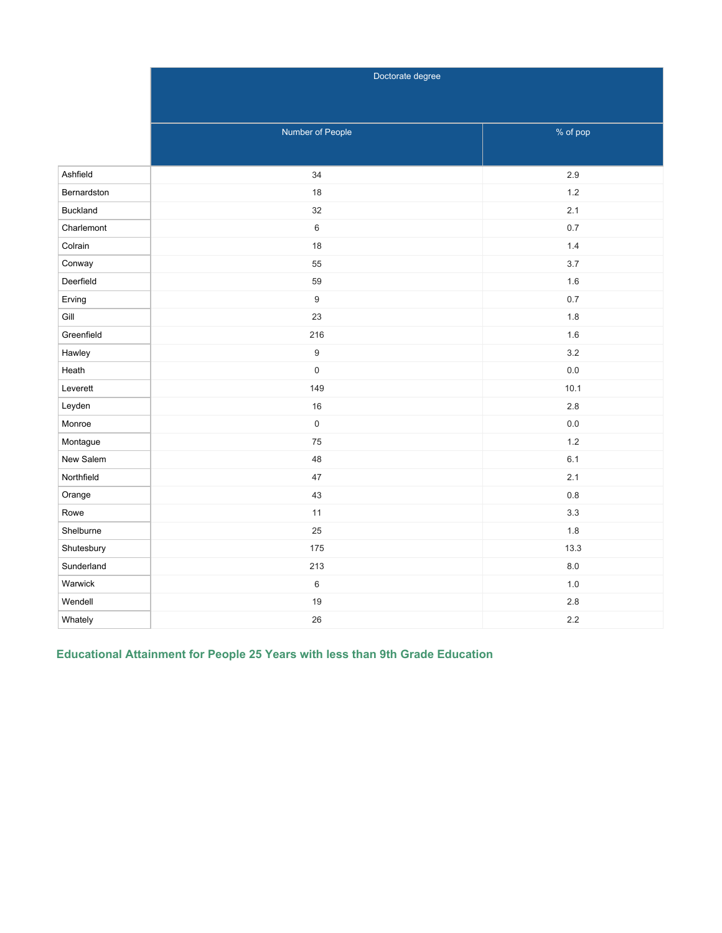|                 | Doctorate degree    |          |
|-----------------|---------------------|----------|
|                 |                     |          |
|                 |                     |          |
|                 | Number of People    | % of pop |
|                 |                     |          |
| Ashfield        | 34                  | 2.9      |
| Bernardston     | 18                  | $1.2$    |
| <b>Buckland</b> | 32                  | 2.1      |
| Charlemont      | $\,6\,$             | $0.7\,$  |
| Colrain         | 18                  | 1.4      |
| Conway          | 55                  | 3.7      |
| Deerfield       | 59                  | 1.6      |
| Erving          | $\boldsymbol{9}$    | 0.7      |
| Gill            | 23                  | 1.8      |
| Greenfield      | 216                 | 1.6      |
| Hawley          | $\boldsymbol{9}$    | 3.2      |
| Heath           | $\mathsf{O}\xspace$ | $0.0\,$  |
| Leverett        | 149                 | 10.1     |
| Leyden          | 16                  | 2.8      |
| Monroe          | $\mathsf{O}\xspace$ | $0.0\,$  |
| Montague        | 75                  | 1.2      |
| New Salem       | 48                  | 6.1      |
| Northfield      | 47                  | 2.1      |
| Orange          | 43                  | $0.8\,$  |
| Rowe            | 11                  | 3.3      |
| Shelburne       | 25                  | 1.8      |
| Shutesbury      | 175                 | 13.3     |
| Sunderland      | 213                 | $8.0\,$  |
| Warwick         | $\,6\,$             | $1.0$    |
| Wendell         | 19                  | 2.8      |
| Whately         | 26                  | 2.2      |

**Educational Attainment for People 25 Years with less than 9th Grade Education**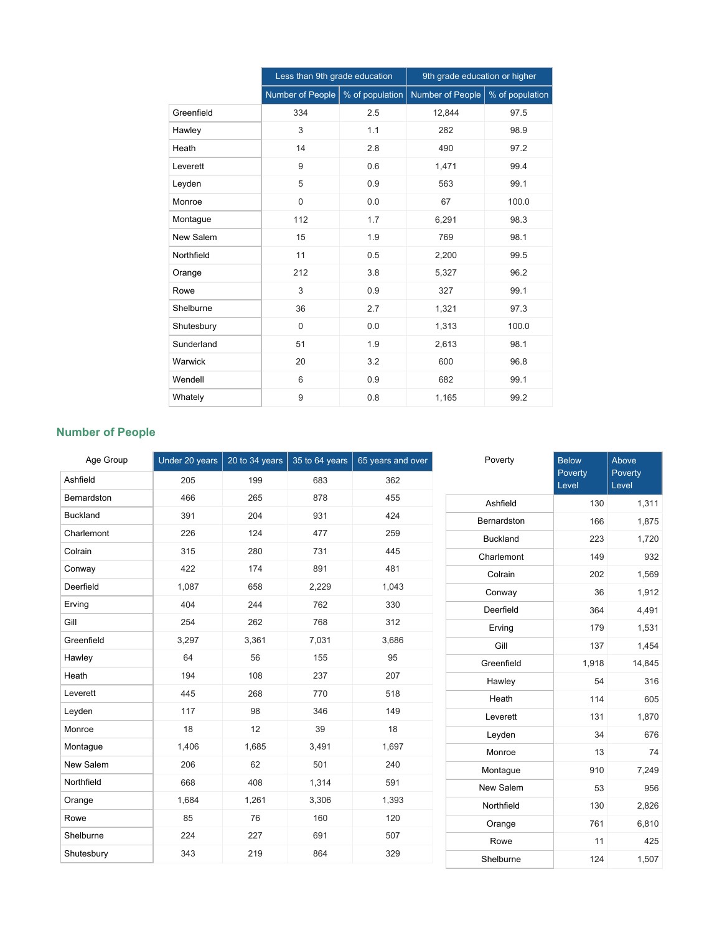|            | Less than 9th grade education |                 | 9th grade education or higher |                 |
|------------|-------------------------------|-----------------|-------------------------------|-----------------|
|            | Number of People              | % of population | Number of People              | % of population |
| Greenfield | 334                           | 2.5             | 12,844                        | 97.5            |
| Hawley     | 3                             | 1.1             | 282                           | 98.9            |
| Heath      | 14                            | 2.8             | 490                           | 97.2            |
| Leverett   | 9                             | 0.6             | 1,471                         | 99.4            |
| Leyden     | 5                             | 0.9             | 563                           | 99.1            |
| Monroe     | $\mathbf 0$                   | 0.0             | 67                            | 100.0           |
| Montague   | 112                           | 1.7             | 6,291                         | 98.3            |
| New Salem  | 15                            | 1.9             | 769                           | 98.1            |
| Northfield | 11                            | 0.5             | 2,200                         | 99.5            |
| Orange     | 212                           | 3.8             | 5,327                         | 96.2            |
| Rowe       | 3                             | 0.9             | 327                           | 99.1            |
| Shelburne  | 36                            | 2.7             | 1,321                         | 97.3            |
| Shutesbury | $\Omega$                      | 0.0             | 1,313                         | 100.0           |
| Sunderland | 51                            | 1.9             | 2,613                         | 98.1            |
| Warwick    | 20                            | 3.2             | 600                           | 96.8            |
| Wendell    | 6                             | 0.9             | 682                           | 99.1            |
| Whately    | 9                             | 0.8             | 1,165                         | 99.2            |

# **Number of People**

| Age Group       | Under 20 years | 20 to 34 years | 35 to 64 years | 65 years and over | Poverty         | <b>Below</b>     | Above            |
|-----------------|----------------|----------------|----------------|-------------------|-----------------|------------------|------------------|
| Ashfield        | 205            | 199            | 683            | 362               |                 | Poverty<br>Level | Poverty<br>Level |
| Bernardston     | 466            | 265            | 878            | 455               | Ashfield        | 130              | 1,311            |
| <b>Buckland</b> | 391            | 204            | 931            | 424               | Bernardston     | 166              | 1,875            |
| Charlemont      | 226            | 124            | 477            | 259               | <b>Buckland</b> | 223              | 1,720            |
| Colrain         | 315            | 280            | 731            | 445               | Charlemont      | 149              | 932              |
| Conway          | 422            | 174            | 891            | 481               | Colrain         | 202              | 1,569            |
| Deerfield       | 1,087          | 658            | 2,229          | 1,043             | Conway          | 36               | 1,912            |
| Erving          | 404            | 244            | 762            | 330               | Deerfield       | 364              | 4,491            |
| Gill            | 254            | 262            | 768            | 312               | Erving          | 179              | 1,531            |
| Greenfield      | 3,297          | 3,361          | 7,031          | 3,686             | Gill            | 137              | 1,454            |
| Hawley          | 64             | 56             | 155            | 95                | Greenfield      | 1,918            | 14,845           |
| Heath           | 194            | 108            | 237            | 207               | Hawley          | 54               | 316              |
| Leverett        | 445            | 268            | 770            | 518               | Heath           | 114              | 605              |
| Leyden          | 117            | 98             | 346            | 149               | Leverett        | 131              | 1,870            |
| Monroe          | 18             | 12             | 39             | 18                | Leyden          | 34               | 676              |
| Montague        | 1,406          | 1,685          | 3,491          | 1,697             | Monroe          | 13               | 74               |
| New Salem       | 206            | 62             | 501            | 240               | Montague        | 910              | 7,249            |
| Northfield      | 668            | 408            | 1,314          | 591               | New Salem       | 53               | 956              |
| Orange          | 1,684          | 1,261          | 3,306          | 1,393             | Northfield      | 130              | 2,826            |
| Rowe            | 85             | 76             | 160            | 120               | Orange          | 761              | 6,810            |
| Shelburne       | 224            | 227            | 691            | 507               | Rowe            | 11               | 425              |
| Shutesbury      | 343            | 219            | 864            | 329               | Shelburne       | 124              | 1,507            |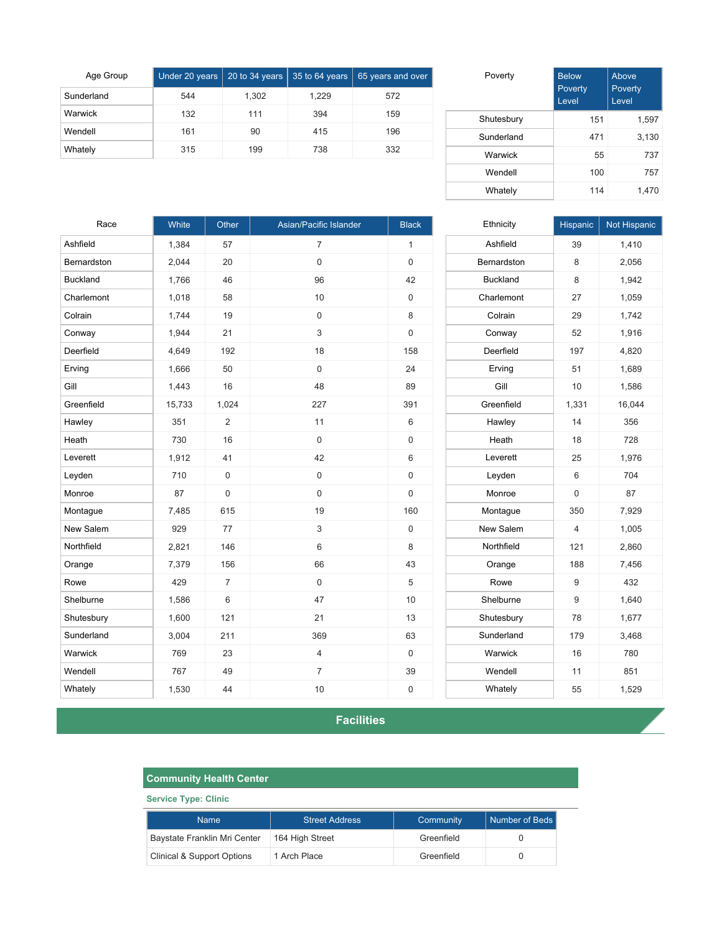| Age Group  |     |       |       | Under 20 years 20 to 34 years $\frac{1}{35}$ to 64 years $\frac{1}{65}$ years and over |
|------------|-----|-------|-------|----------------------------------------------------------------------------------------|
| Sunderland | 544 | 1,302 | 1.229 | 572                                                                                    |
| Warwick    | 132 | 111   | 394   | 159                                                                                    |
| Wendell    | 161 | 90    | 415   | 196                                                                                    |
| Whately    | 315 | 199   | 738   | 332                                                                                    |

| Poverty    | <b>Below</b><br>Poverty<br>Level | Above<br>Poverty<br>Level |
|------------|----------------------------------|---------------------------|
| Shutesbury | 151                              | 1,597                     |
| Sunderland | 471                              | 3,130                     |
| Warwick    | 55                               | 737                       |
| Wendell    | 100                              | 757                       |
| Whately    | 114                              | 1,470                     |

| Race            | White  | Other          | Asian/Pacific Islander | <b>Black</b> | Ethnicity       | Hispanic       | Not Hispanic |
|-----------------|--------|----------------|------------------------|--------------|-----------------|----------------|--------------|
| Ashfield        | 1,384  | 57             | $\overline{7}$         | $\mathbf{1}$ | Ashfield        | 39             | 1,410        |
| Bernardston     | 2,044  | 20             | $\mathsf{O}\xspace$    | $\mathbf 0$  | Bernardston     | 8              | 2,056        |
| <b>Buckland</b> | 1,766  | 46             | 96                     | 42           | <b>Buckland</b> | 8              | 1,942        |
| Charlemont      | 1,018  | 58             | 10                     | $\mathbf 0$  | Charlemont      | 27             | 1,059        |
| Colrain         | 1,744  | 19             | $\mathsf{O}\xspace$    | 8            | Colrain         | 29             | 1,742        |
| Conway          | 1,944  | 21             | 3                      | $\mathbf 0$  | Conway          | 52             | 1,916        |
| Deerfield       | 4,649  | 192            | 18                     | 158          | Deerfield       | 197            | 4,820        |
| Erving          | 1,666  | 50             | $\pmb{0}$              | 24           | Erving          | 51             | 1,689        |
| Gill            | 1,443  | 16             | 48                     | 89           | Gill            | 10             | 1,586        |
| Greenfield      | 15,733 | 1,024          | 227                    | 391          | Greenfield      | 1,331          | 16,044       |
| Hawley          | 351    | 2              | 11                     | 6            | Hawley          | 14             | 356          |
| Heath           | 730    | 16             | $\mathsf{O}\xspace$    | $\mathbf 0$  | Heath           | 18             | 728          |
| Leverett        | 1,912  | 41             | 42                     | 6            | Leverett        | 25             | 1,976        |
| Leyden          | 710    | $\mathbf 0$    | $\mathsf 0$            | $\mathsf 0$  | Leyden          | 6              | 704          |
| Monroe          | 87     | 0              | $\pmb{0}$              | $\mathsf 0$  | Monroe          | $\mathsf 0$    | 87           |
| Montague        | 7,485  | 615            | 19                     | 160          | Montague        | 350            | 7,929        |
| New Salem       | 929    | 77             | 3                      | $\mathsf 0$  | New Salem       | $\overline{4}$ | 1,005        |
| Northfield      | 2,821  | 146            | $\,6\,$                | $\,8\,$      | Northfield      | 121            | 2,860        |
| Orange          | 7,379  | 156            | 66                     | 43           | Orange          | 188            | 7,456        |
| Rowe            | 429    | $\overline{7}$ | $\mathsf{O}\xspace$    | 5            | Rowe            | $9\,$          | 432          |
| Shelburne       | 1,586  | 6              | 47                     | 10           | Shelburne       | $9\,$          | 1,640        |
| Shutesbury      | 1,600  | 121            | 21                     | 13           | Shutesbury      | 78             | 1,677        |
| Sunderland      | 3,004  | 211            | 369                    | 63           | Sunderland      | 179            | 3,468        |
| Warwick         | 769    | 23             | 4                      | $\mathsf 0$  | Warwick         | 16             | 780          |
| Wendell         | 767    | 49             | $\overline{7}$         | 39           | Wendell         | 11             | 851          |
| Whately         | 1,530  | 44             | $10$                   | $\mathsf 0$  | Whately         | 55             | 1,529        |

**Facilities**

| <b>Community Health Center</b>        |                       |            |                       |  |  |
|---------------------------------------|-----------------------|------------|-----------------------|--|--|
| <b>Service Type: Clinic</b>           |                       |            |                       |  |  |
| <b>Name</b>                           | <b>Street Address</b> | Community  | <b>Number of Beds</b> |  |  |
| Baystate Franklin Mri Center          | 164 High Street       | Greenfield |                       |  |  |
| <b>Clinical &amp; Support Options</b> | 1 Arch Place          | Greenfield | 0                     |  |  |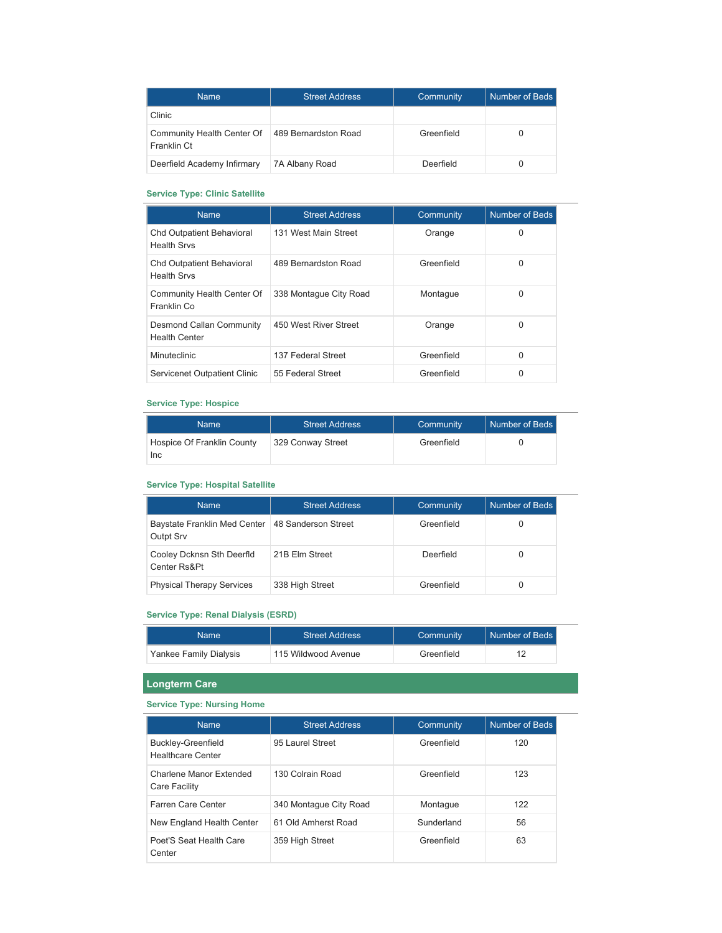| <b>Name</b>                               | <b>Street Address</b> | Community  | Number of Beds |
|-------------------------------------------|-----------------------|------------|----------------|
| Clinic                                    |                       |            |                |
| Community Health Center Of<br>Franklin Ct | 489 Bernardston Road  | Greenfield |                |
| Deerfield Academy Infirmary               | 7A Albany Road        | Deerfield  |                |

## **Service Type: Clinic Satellite**

| <b>Name</b>                                            | <b>Street Address</b>  | Community  | Number of Beds |
|--------------------------------------------------------|------------------------|------------|----------------|
| <b>Chd Outpatient Behavioral</b><br><b>Health Srvs</b> | 131 West Main Street   | Orange     | $\Omega$       |
| <b>Chd Outpatient Behavioral</b><br><b>Health Srvs</b> | 489 Bernardston Road   | Greenfield | $\Omega$       |
| Community Health Center Of<br>Franklin Co              | 338 Montague City Road | Montague   | $\Omega$       |
| Desmond Callan Community<br><b>Health Center</b>       | 450 West River Street  | Orange     | $\Omega$       |
| <b>Minuteclinic</b>                                    | 137 Federal Street     | Greenfield | $\Omega$       |
| Servicenet Outpatient Clinic                           | 55 Federal Street      | Greenfield | O              |

### **Service Type: Hospice**

| Name                       | <b>Street Address</b> | Community  | Number of Beds |
|----------------------------|-----------------------|------------|----------------|
| Hospice Of Franklin County | 329 Conway Street     | Greenfield |                |
| <b>Inc</b>                 |                       |            |                |

#### **Service Type: Hospital Satellite**

| <b>Name</b>                               | <b>Street Address</b> | <b>Community</b> | Number of Beds |
|-------------------------------------------|-----------------------|------------------|----------------|
| Baystate Franklin Med Center<br>Outpt Srv | 48 Sanderson Street   | Greenfield       |                |
| Cooley Dcknsn Sth Deerfld<br>Center Rs&Pt | 21B Elm Street        | Deerfield        |                |
| <b>Physical Therapy Services</b>          | 338 High Street       | Greenfield       | U              |

### **Service Type: Renal Dialysis (ESRD)**

| Namel                  | Street Address      | Community  | Number of Beds |
|------------------------|---------------------|------------|----------------|
| Yankee Family Dialysis | 115 Wildwood Avenue | Greenfield |                |

 $\overline{\phantom{0}}$ 

# **Longterm Care**

## **Service Type: Nursing Home**

| <b>Name</b>                                           | <b>Street Address</b>  | Community  | Number of Beds |
|-------------------------------------------------------|------------------------|------------|----------------|
| <b>Buckley-Greenfield</b><br><b>Healthcare Center</b> | 95 Laurel Street       | Greenfield | 120            |
| Charlene Manor Extended<br>Care Facility              | 130 Colrain Road       | Greenfield | 123            |
| Farren Care Center                                    | 340 Montague City Road | Montague   | 122            |
| New England Health Center                             | 61 Old Amherst Road    | Sunderland | 56             |
| Poet'S Seat Health Care<br>Center                     | 359 High Street        | Greenfield | 63             |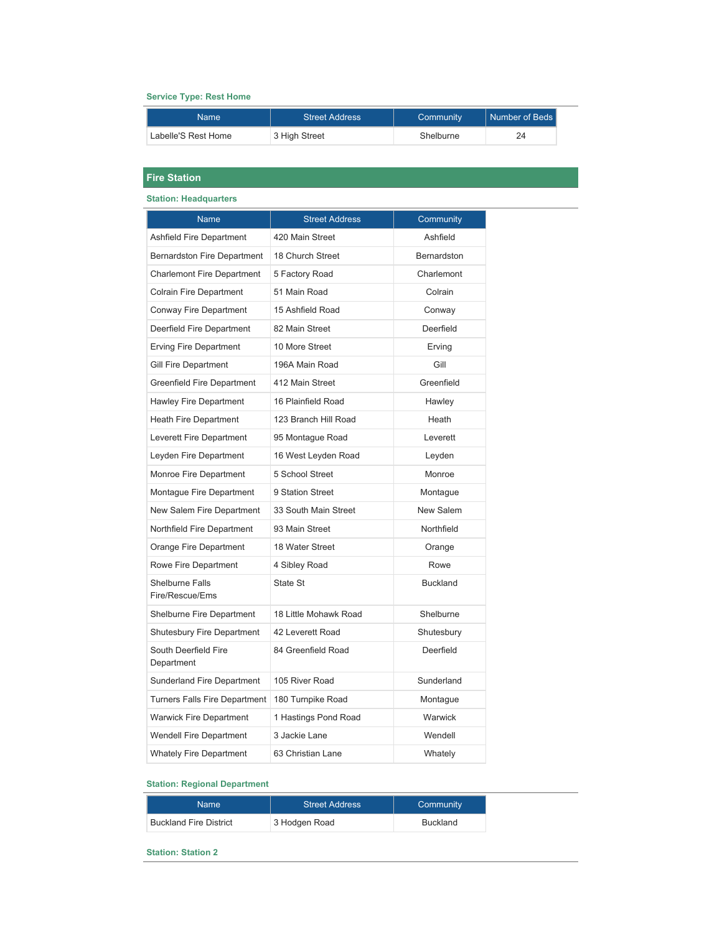### **Service Type: Rest Home**

| Name                | <b>Street Address</b> | Community | Number of Beds |
|---------------------|-----------------------|-----------|----------------|
| Labelle'S Rest Home | 3 High Street         | Shelburne | 24             |

## **Fire Station**

#### **Station: Headquarters**

| <b>Name</b>                               | <b>Street Address</b> | Community       |
|-------------------------------------------|-----------------------|-----------------|
| <b>Ashfield Fire Department</b>           | 420 Main Street       | Ashfield        |
| <b>Bernardston Fire Department</b>        | 18 Church Street      | Bernardston     |
| <b>Charlemont Fire Department</b>         | 5 Factory Road        | Charlemont      |
| <b>Colrain Fire Department</b>            | 51 Main Road          | Colrain         |
| Conway Fire Department                    | 15 Ashfield Road      | Conway          |
| Deerfield Fire Department                 | 82 Main Street        | Deerfield       |
| Erving Fire Department                    | 10 More Street        | Erving          |
| <b>Gill Fire Department</b>               | 196A Main Road        | Gill            |
| <b>Greenfield Fire Department</b>         | 412 Main Street       | Greenfield      |
| Hawley Fire Department                    | 16 Plainfield Road    | Hawley          |
| <b>Heath Fire Department</b>              | 123 Branch Hill Road  | Heath           |
| Leverett Fire Department                  | 95 Montague Road      | Leverett        |
| Leyden Fire Department                    | 16 West Leyden Road   | Leyden          |
| Monroe Fire Department                    | 5 School Street       | Monroe          |
| Montague Fire Department                  | 9 Station Street      | Montague        |
| New Salem Fire Department                 | 33 South Main Street  | New Salem       |
| Northfield Fire Department                | 93 Main Street        | Northfield      |
| Orange Fire Department                    | 18 Water Street       | Orange          |
| Rowe Fire Department                      | 4 Sibley Road         | Rowe            |
| <b>Shelburne Falls</b><br>Fire/Rescue/Ems | State St              | <b>Buckland</b> |
| <b>Shelburne Fire Department</b>          | 18 Little Mohawk Road | Shelburne       |
| <b>Shutesbury Fire Department</b>         | 42 Leverett Road      | Shutesbury      |
| South Deerfield Fire<br>Department        | 84 Greenfield Road    | Deerfield       |
| Sunderland Fire Department                | 105 River Road        | Sunderland      |
| <b>Turners Falls Fire Department</b>      | 180 Turnpike Road     | Montague        |
| <b>Warwick Fire Department</b>            | 1 Hastings Pond Road  | Warwick         |
| <b>Wendell Fire Department</b>            | 3 Jackie Lane         | Wendell         |
| <b>Whately Fire Department</b>            | 63 Christian Lane     | Whately         |

### **Station: Regional Department**

| Namel                         | <b>Street Address</b> | Community       |
|-------------------------------|-----------------------|-----------------|
| <b>Buckland Fire District</b> | 3 Hodgen Road         | <b>Buckland</b> |

#### **Station: Station 2**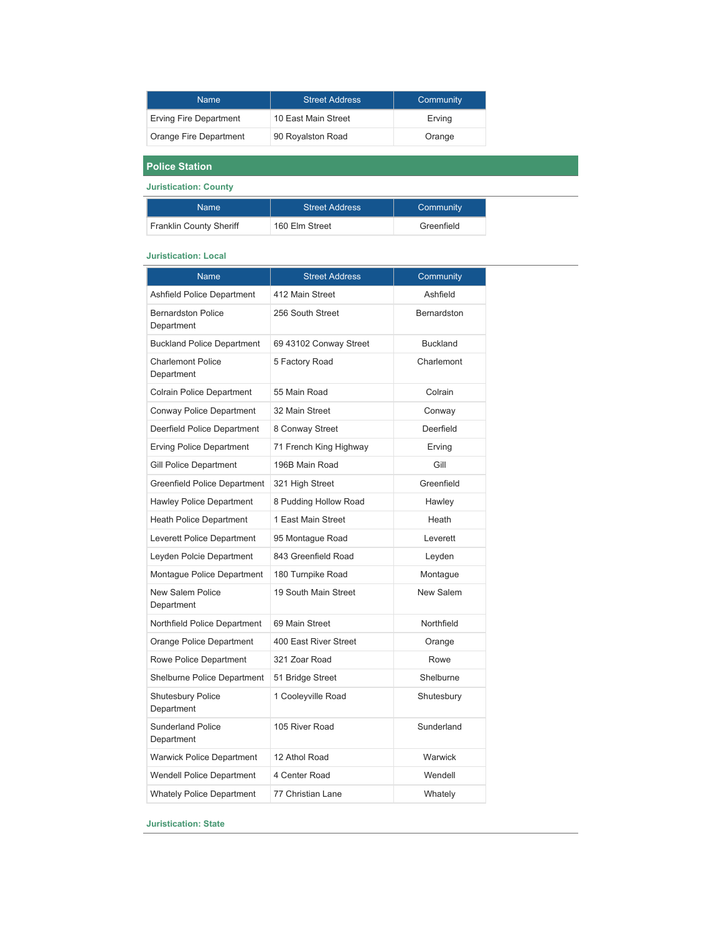| <b>Name</b>            | <b>Street Address</b> | Community |
|------------------------|-----------------------|-----------|
| Erving Fire Department | 10 East Main Street   | Erving    |
| Orange Fire Department | 90 Royalston Road     | Orange    |

**Police Station**

**Juristication: County**

| Name                           | <b>Street Address</b> | Community  |
|--------------------------------|-----------------------|------------|
| <b>Franklin County Sheriff</b> | 160 Elm Street        | Greenfield |

#### **Juristication: Local**

| <b>Name</b>                             | <b>Street Address</b>  | Community       |
|-----------------------------------------|------------------------|-----------------|
| <b>Ashfield Police Department</b>       | 412 Main Street        | Ashfield        |
| <b>Bernardston Police</b><br>Department | 256 South Street       | Bernardston     |
| <b>Buckland Police Department</b>       | 69 43102 Conway Street | <b>Buckland</b> |
| <b>Charlemont Police</b><br>Department  | 5 Factory Road         | Charlemont      |
| <b>Colrain Police Department</b>        | 55 Main Road           | Colrain         |
| Conway Police Department                | 32 Main Street         | Conway          |
| Deerfield Police Department             | 8 Conway Street        | Deerfield       |
| <b>Erving Police Department</b>         | 71 French King Highway | Erving          |
| Gill Police Department                  | 196B Main Road         | Gill            |
| Greenfield Police Department            | 321 High Street        | Greenfield      |
| <b>Hawley Police Department</b>         | 8 Pudding Hollow Road  | Hawley          |
| <b>Heath Police Department</b>          | 1 East Main Street     | Heath           |
| Leverett Police Department              | 95 Montague Road       | Leverett        |
| Leyden Polcie Department                | 843 Greenfield Road    | Leyden          |
| Montaque Police Department              | 180 Turnpike Road      | Montague        |
| <b>New Salem Police</b><br>Department   | 19 South Main Street   | New Salem       |
| Northfield Police Department            | 69 Main Street         | Northfield      |
| Orange Police Department                | 400 East River Street  | Orange          |
| Rowe Police Department                  | 321 Zoar Road          | Rowe            |
| Shelburne Police Department             | 51 Bridge Street       | Shelburne       |
| Shutesbury Police<br>Department         | 1 Cooleyville Road     | Shutesbury      |
| <b>Sunderland Police</b><br>Department  | 105 River Road         | Sunderland      |
| <b>Warwick Police Department</b>        | 12 Athol Road          | Warwick         |
| <b>Wendell Police Department</b>        | 4 Center Road          | Wendell         |
| <b>Whately Police Department</b>        | 77 Christian Lane      | Whately         |

**Juristication: State**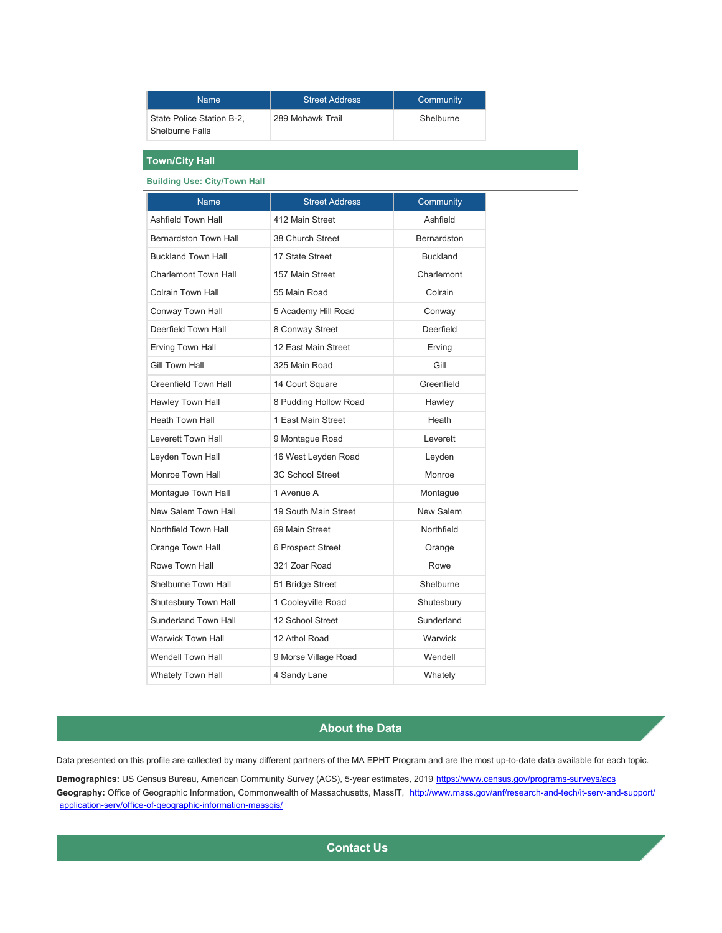| <b>Name</b>                                  | <b>Street Address</b> | Community |
|----------------------------------------------|-----------------------|-----------|
| State Police Station B-2.<br>Shelburne Falls | 289 Mohawk Trail      | Shelburne |

## **Town/City Hall**

### **Building Use: City/Town Hall**

| <b>Name</b>                  | <b>Street Address</b>   | Community          |
|------------------------------|-------------------------|--------------------|
| Ashfield Town Hall           | 412 Main Street         | Ashfield           |
| <b>Bernardston Town Hall</b> | 38 Church Street        | <b>Bernardston</b> |
| <b>Buckland Town Hall</b>    | 17 State Street         | <b>Buckland</b>    |
| <b>Charlemont Town Hall</b>  | 157 Main Street         | Charlemont         |
| Colrain Town Hall            | 55 Main Road            | Colrain            |
| Conway Town Hall             | 5 Academy Hill Road     | Conway             |
| Deerfield Town Hall          | 8 Conway Street         | Deerfield          |
| Erving Town Hall             | 12 East Main Street     | Erving             |
| Gill Town Hall               | 325 Main Road           | Gill               |
| Greenfield Town Hall         | 14 Court Square         | Greenfield         |
| Hawley Town Hall             | 8 Pudding Hollow Road   | Hawley             |
| <b>Heath Town Hall</b>       | 1 East Main Street      | Heath              |
| <b>Leverett Town Hall</b>    | 9 Montague Road         | Leverett           |
| Leyden Town Hall             | 16 West Leyden Road     | Leyden             |
| Monroe Town Hall             | <b>3C School Street</b> | Monroe             |
| Montague Town Hall           | 1 Avenue A              | Montague           |
| New Salem Town Hall          | 19 South Main Street    | New Salem          |
| Northfield Town Hall         | 69 Main Street          | Northfield         |
| Orange Town Hall             | 6 Prospect Street       | Orange             |
| Rowe Town Hall               | 321 Zoar Road           | Rowe               |
| Shelburne Town Hall          | 51 Bridge Street        | Shelburne          |
| Shutesbury Town Hall         | 1 Cooleyville Road      | Shutesbury         |
| <b>Sunderland Town Hall</b>  | 12 School Street        | Sunderland         |
| <b>Warwick Town Hall</b>     | 12 Athol Road           | Warwick            |
| <b>Wendell Town Hall</b>     | 9 Morse Village Road    | Wendell            |
| <b>Whately Town Hall</b>     | 4 Sandy Lane            | Whately            |

### **About the Data**

Data presented on this profile are collected by many different partners of the MA EPHT Program and are the most up-to-date data available for each topic.

Demographics: US Census Bureau, American Community Survey (ACS), 5-year estimates, 2019 <https://www.census.gov/programs-surveys/acs> Geography: Office of Geographic Information, Commonwealth of Massachusetts, MassIT, [http://www.mass.gov/anf/research-and-tech/it-serv-and-support/](http://www.mass.gov/anf/research-and-tech/it-serv-and-support/application-serv/office-of-geographic-information-massgis/) [application-serv/office-of-geographic-information-massgis/](http://www.mass.gov/anf/research-and-tech/it-serv-and-support/application-serv/office-of-geographic-information-massgis/)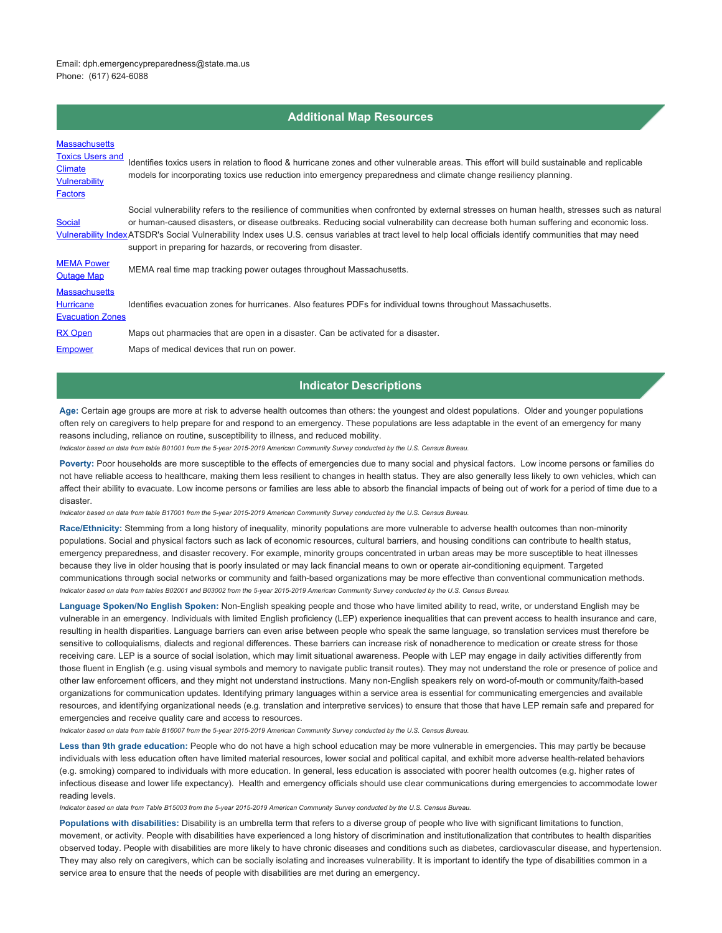Email: dph.emergencypreparedness@state.ma.us Phone: (617) 624-6088

## **Additional Map Resources**

| <b>Massachusetts</b><br><b>Toxics Users and</b><br><b>Climate</b><br><b>Vulnerability</b><br><b>Factors</b> | Identifies toxics users in relation to flood & hurricane zones and other vulnerable areas. This effort will build sustainable and replicable<br>models for incorporating toxics use reduction into emergency preparedness and climate change resiliency planning.                                                                                                                                                                                                                                                  |
|-------------------------------------------------------------------------------------------------------------|--------------------------------------------------------------------------------------------------------------------------------------------------------------------------------------------------------------------------------------------------------------------------------------------------------------------------------------------------------------------------------------------------------------------------------------------------------------------------------------------------------------------|
| <b>Social</b>                                                                                               | Social vulnerability refers to the resilience of communities when confronted by external stresses on human health, stresses such as natural<br>or human-caused disasters, or disease outbreaks. Reducing social vulnerability can decrease both human suffering and economic loss.<br>Vulnerability IndexATSDR's Social Vulnerability Index uses U.S. census variables at tract level to help local officials identify communities that may need<br>support in preparing for hazards, or recovering from disaster. |
| <b>MEMA Power</b><br><b>Outage Map</b>                                                                      | MEMA real time map tracking power outages throughout Massachusetts.                                                                                                                                                                                                                                                                                                                                                                                                                                                |
| <b>Massachusetts</b><br><b>Hurricane</b><br><b>Evacuation Zones</b>                                         | Identifies evacuation zones for hurricanes. Also features PDFs for individual towns throughout Massachusetts.                                                                                                                                                                                                                                                                                                                                                                                                      |
| <b>RX Open</b>                                                                                              | Maps out pharmacies that are open in a disaster. Can be activated for a disaster.                                                                                                                                                                                                                                                                                                                                                                                                                                  |
| <b>Empower</b>                                                                                              | Maps of medical devices that run on power.                                                                                                                                                                                                                                                                                                                                                                                                                                                                         |

#### **Indicator Descriptions**

**Age:** Certain age groups are more at risk to adverse health outcomes than others: the youngest and oldest populations. Older and younger populations often rely on caregivers to help prepare for and respond to an emergency. These populations are less adaptable in the event of an emergency for many reasons including, reliance on routine, susceptibility to illness, and reduced mobility.

*Indicator based on data from table B01001 from the 5-year 2015-2019 American Community Survey conducted by the U.S. Census Bureau.*

Poverty: Poor households are more susceptible to the effects of emergencies due to many social and physical factors. Low income persons or families do not have reliable access to healthcare, making them less resilient to changes in health status. They are also generally less likely to own vehicles, which can affect their ability to evacuate. Low income persons or families are less able to absorb the financial impacts of being out of work for a period of time due to a disaster.

*Indicator based on data from table B17001 from the 5-year 2015-2019 American Community Survey conducted by the U.S. Census Bureau.*

**Race/Ethnicity:** Stemming from a long history of inequality, minority populations are more vulnerable to adverse health outcomes than non-minority populations. Social and physical factors such as lack of economic resources, cultural barriers, and housing conditions can contribute to health status, emergency preparedness, and disaster recovery. For example, minority groups concentrated in urban areas may be more susceptible to heat illnesses because they live in older housing that is poorly insulated or may lack financial means to own or operate air-conditioning equipment. Targeted communications through social networks or community and faith-based organizations may be more effective than conventional communication methods. *Indicator based on data from tables B02001 and B03002 from the 5-year 2015-2019 American Community Survey conducted by the U.S. Census Bureau.*

**Language Spoken/No English Spoken:** Non-English speaking people and those who have limited ability to read, write, or understand English may be vulnerable in an emergency. Individuals with limited English proficiency (LEP) experience inequalities that can prevent access to health insurance and care, resulting in health disparities. Language barriers can even arise between people who speak the same language, so translation services must therefore be sensitive to colloquialisms, dialects and regional differences. These barriers can increase risk of nonadherence to medication or create stress for those receiving care. LEP is a source of social isolation, which may limit situational awareness. People with LEP may engage in daily activities differently from those fluent in English (e.g. using visual symbols and memory to navigate public transit routes). They may not understand the role or presence of police and other law enforcement officers, and they might not understand instructions. Many non-English speakers rely on word-of-mouth or community/faith-based organizations for communication updates. Identifying primary languages within a service area is essential for communicating emergencies and available resources, and identifying organizational needs (e.g. translation and interpretive services) to ensure that those that have LEP remain safe and prepared for emergencies and receive quality care and access to resources.

*Indicator based on data from table B16007 from the 5-year 2015-2019 American Community Survey conducted by the U.S. Census Bureau.*

Less than 9th grade education: People who do not have a high school education may be more vulnerable in emergencies. This may partly be because individuals with less education often have limited material resources, lower social and political capital, and exhibit more adverse health-related behaviors (e.g. smoking) compared to individuals with more education. In general, less education is associated with poorer health outcomes (e.g. higher rates of infectious disease and lower life expectancy). Health and emergency officials should use clear communications during emergencies to accommodate lower reading levels.

*Indicator based on data from Table B15003 from the 5-year 2015-2019 American Community Survey conducted by the U.S. Census Bureau.*

**Populations with disabilities:** Disability is an umbrella term that refers to a diverse group of people who live with significant limitations to function, movement, or activity. People with disabilities have experienced a long history of discrimination and institutionalization that contributes to health disparities observed today. People with disabilities are more likely to have chronic diseases and conditions such as diabetes, cardiovascular disease, and hypertension. They may also rely on caregivers, which can be socially isolating and increases vulnerability. It is important to identify the type of disabilities common in a service area to ensure that the needs of people with disabilities are met during an emergency.